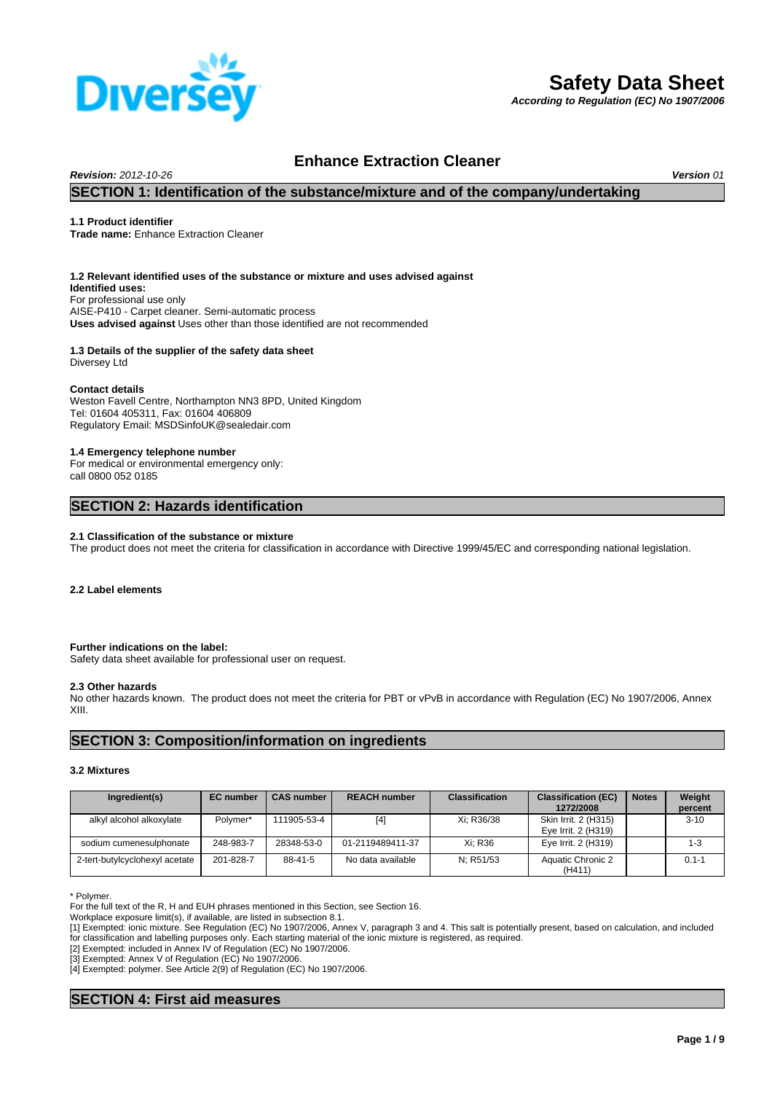

# **Safety Data Sheet**

*According to Regulation (EC) No 1907/2006*

## **Enhance Extraction Cleaner**

*Revision: 2012-10-26 Version 01*

## **SECTION 1: Identification of the substance/mixture and of the company/undertaking**

#### **1.1 Product identifier**

**Trade name:** Enhance Extraction Cleaner

### **1.2 Relevant identified uses of the substance or mixture and uses advised against**

**Uses advised against** Uses other than those identified are not recommended **Identified uses:** For professional use only AISE-P410 - Carpet cleaner. Semi-automatic process

## **1.3 Details of the supplier of the safety data sheet**

Diversey Ltd

#### **Contact details**

Weston Favell Centre, Northampton NN3 8PD, United Kingdom Tel: 01604 405311, Fax: 01604 406809 Regulatory Email: MSDSinfoUK@sealedair.com

#### **1.4 Emergency telephone number**

For medical or environmental emergency only: call 0800 052 0185

## **SECTION 2: Hazards identification**

#### **2.1 Classification of the substance or mixture**

The product does not meet the criteria for classification in accordance with Directive 1999/45/EC and corresponding national legislation.

#### **2.2 Label elements**

#### **Further indications on the label:**

Safety data sheet available for professional user on request.

#### **2.3 Other hazards**

No other hazards known. The product does not meet the criteria for PBT or vPvB in accordance with Regulation (EC) No 1907/2006, Annex XIII.

## **SECTION 3: Composition/information on ingredients**

#### **3.2 Mixtures**

| Ingredient(s)                  | <b>EC</b> number | <b>CAS number</b> | <b>REACH number</b> | <b>Classification</b> | <b>Classification (EC)</b><br>1272/2008     | <b>Notes</b> | Weight<br>percent |
|--------------------------------|------------------|-------------------|---------------------|-----------------------|---------------------------------------------|--------------|-------------------|
| alkyl alcohol alkoxylate       | Polymer*         | 111905-53-4       | [4]                 | Xi; R36/38            | Skin Irrit. 2 (H315)<br>Eye Irrit. 2 (H319) |              | $3 - 10$          |
| sodium cumenesulphonate        | 248-983-7        | 28348-53-0        | 01-2119489411-37    | Xi: R36               | Eye Irrit. 2 (H319)                         |              | $1 - 3$           |
| 2-tert-butylcyclohexyl acetate | 201-828-7        | 88-41-5           | No data available   | N: R51/53             | Aquatic Chronic 2<br>(H411)                 |              | $0.1 - 1$         |

\* Polymer.

For the full text of the R, H and EUH phrases mentioned in this Section, see Section 16.

Workplace exposure limit(s), if available, are listed in subsection 8.1.

[2] Exempted: included in Annex IV of Regulation (EC) No 1907/2006.

[3] Exempted: Annex V of Regulation (EC) No 1907/2006.

[4] Exempted: polymer. See Article 2(9) of Regulation (EC) No 1907/2006.

## **SECTION 4: First aid measures**

<sup>[1]</sup> Exempted: ionic mixture. See Regulation (EC) No 1907/2006, Annex V, paragraph 3 and 4. This salt is potentially present, based on calculation, and included for classification and labelling purposes only. Each starting material of the ionic mixture is registered, as required.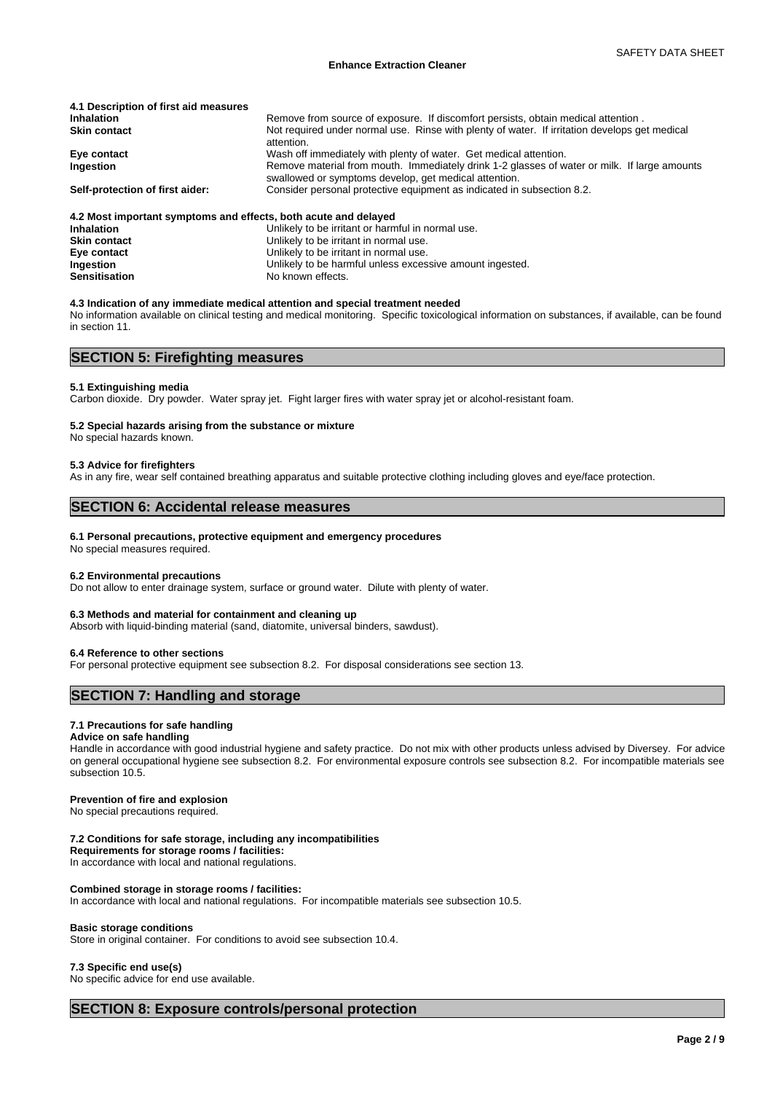| 4.1 Description of first aid measures                           |                                                                                                                                                       |
|-----------------------------------------------------------------|-------------------------------------------------------------------------------------------------------------------------------------------------------|
| <b>Inhalation</b>                                               | Remove from source of exposure. If discomfort persists, obtain medical attention.                                                                     |
| <b>Skin contact</b>                                             | Not required under normal use. Rinse with plenty of water. If irritation develops get medical<br>attention.                                           |
| Eye contact                                                     | Wash off immediately with plenty of water. Get medical attention.                                                                                     |
| Ingestion                                                       | Remove material from mouth. Immediately drink 1-2 glasses of water or milk. If large amounts<br>swallowed or symptoms develop, get medical attention. |
| Self-protection of first aider:                                 | Consider personal protective equipment as indicated in subsection 8.2.                                                                                |
| 4.2 Most important symptoms and effects, both acute and delayed |                                                                                                                                                       |
| <b>Inhalation</b>                                               | Unlikely to be irritant or harmful in normal use.                                                                                                     |
| <b>Skin contact</b>                                             | Unlikely to be irritant in normal use.                                                                                                                |
| Eye contact                                                     | Unlikely to be irritant in normal use.                                                                                                                |

#### **Ingestion** Unlikely to be harmful unless excessive amount ingested.<br> **Sensitisation** Moknown effects. No known effects.

#### **4.3 Indication of any immediate medical attention and special treatment needed**

No information available on clinical testing and medical monitoring. Specific toxicological information on substances, if available, can be found in section 11.

## **SECTION 5: Firefighting measures**

#### **5.1 Extinguishing media**

Carbon dioxide. Dry powder. Water spray jet. Fight larger fires with water spray jet or alcohol-resistant foam.

#### **5.2 Special hazards arising from the substance or mixture**

No special hazards known.

#### **5.3 Advice for firefighters**

As in any fire, wear self contained breathing apparatus and suitable protective clothing including gloves and eye/face protection.

## **SECTION 6: Accidental release measures**

#### **6.1 Personal precautions, protective equipment and emergency procedures**

No special measures required.

#### **6.2 Environmental precautions**

Do not allow to enter drainage system, surface or ground water. Dilute with plenty of water.

#### **6.3 Methods and material for containment and cleaning up**

Absorb with liquid-binding material (sand, diatomite, universal binders, sawdust).

#### **6.4 Reference to other sections**

For personal protective equipment see subsection 8.2. For disposal considerations see section 13.

## **SECTION 7: Handling and storage**

#### **7.1 Precautions for safe handling**

#### **Advice on safe handling**

Handle in accordance with good industrial hygiene and safety practice. Do not mix with other products unless advised by Diversey. For advice on general occupational hygiene see subsection 8.2. For environmental exposure controls see subsection 8.2. For incompatible materials see subsection 10.5.

#### **Prevention of fire and explosion**

No special precautions required.

#### **7.2 Conditions for safe storage, including any incompatibilities**

**Requirements for storage rooms / facilities:**

In accordance with local and national regulations.

### **Combined storage in storage rooms / facilities:**

In accordance with local and national regulations. For incompatible materials see subsection 10.5.

#### **Basic storage conditions**

Store in original container. For conditions to avoid see subsection 10.4.

#### **7.3 Specific end use(s)**

No specific advice for end use available.

## **SECTION 8: Exposure controls/personal protection**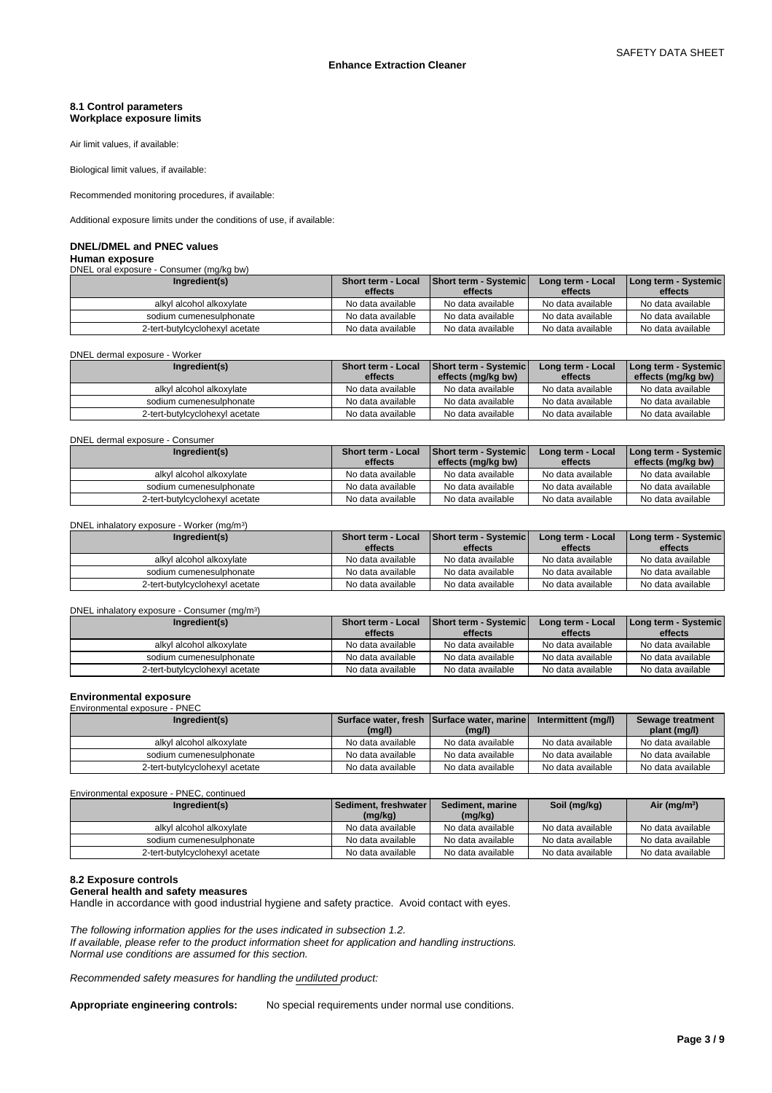### **8.1 Control parameters Workplace exposure limits**

Air limit values, if available:

Biological limit values, if available:

Recommended monitoring procedures, if available:

Additional exposure limits under the conditions of use, if available:

## **DNEL/DMEL and PNEC values**

**Human exposure** DNEL oral exposure - Consumer (mg/kg bw)

| Ingredient(s)                  | <b>Short term - Local</b><br>effects | <b>Short term - Systemic</b><br>effects | Long term - Local<br>effects | Long term - Systemic<br>effects |
|--------------------------------|--------------------------------------|-----------------------------------------|------------------------------|---------------------------------|
| alkyl alcohol alkoxylate       | No data available                    | No data available                       | No data available            | No data available               |
| sodium cumenesulphonate        | No data available                    | No data available                       | No data available            | No data available               |
| 2-tert-butylcyclohexyl acetate | No data available                    | No data available                       | No data available            | No data available               |

#### DNEL dermal exposure - Worker

| Ingredient(s)                  | <b>Short term - Local</b><br>effects | <b>Short term - Systemic</b><br>effects (mg/kg bw) | Long term - Local<br>effects | Long term - Systemic<br>effects (mg/kg bw) |
|--------------------------------|--------------------------------------|----------------------------------------------------|------------------------------|--------------------------------------------|
| alkyl alcohol alkoxylate       | No data available                    | No data available                                  | No data available            | No data available                          |
| sodium cumenesulphonate        | No data available                    | No data available                                  | No data available            | No data available                          |
| 2-tert-butylcyclohexyl acetate | No data available                    | No data available                                  | No data available            | No data available                          |

#### DNEL dermal exposure - Consumer

| Ingredient(s)                  | <b>Short term - Local</b> | <b>Short term - Systemic</b> | Long term - Local | [Long term - Systemic] |
|--------------------------------|---------------------------|------------------------------|-------------------|------------------------|
|                                | effects                   | effects (mg/kg bw)           | effects           | effects (mg/kg bw)     |
| alkvl alcohol alkoxvlate       | No data available         | No data available            | No data available | No data available      |
| sodium cumenesulphonate        | No data available         | No data available            | No data available | No data available      |
| 2-tert-butylcyclohexyl acetate | No data available         | No data available            | No data available | No data available      |

#### DNEL inhalatory exposure - Worker (mg/m<sup>3</sup>

| DNEL inhalatory exposure - Worker (mg/m <sup>3</sup> ) |                                      |                                  |                              |                                 |
|--------------------------------------------------------|--------------------------------------|----------------------------------|------------------------------|---------------------------------|
| Ingredient(s)                                          | <b>Short term - Local</b><br>effects | Short term - Systemic<br>effects | Long term - Local<br>effects | Long term - Systemic<br>effects |
| alkyl alcohol alkoxylate                               | No data available                    | No data available                | No data available            | No data available               |
| sodium cumenesulphonate                                | No data available                    | No data available                | No data available            | No data available               |
| 2-tert-butylcyclohexyl acetate                         | No data available                    | No data available                | No data available            | No data available               |

#### DNEL inhalatory exposure - Consumer (mg/m<sup>3</sup> )

| Ingredient(s)                  | <b>Short term - Local</b><br>effects | <b>Short term - Systemic</b><br>effects | Long term - Local<br>effects | Long term - Systemic  <br>effects |
|--------------------------------|--------------------------------------|-----------------------------------------|------------------------------|-----------------------------------|
| alkyl alcohol alkoxylate       | No data available                    | No data available                       | No data available            | No data available                 |
| sodium cumenesulphonate        | No data available                    | No data available                       | No data available            | No data available                 |
| 2-tert-butylcyclohexyl acetate | No data available                    | No data available                       | No data available            | No data available                 |

#### **Environmental exposure** Environmental exposure - PNEC

| Ingredient(s)                  |                   | Surface water, fresh Surface water, marine | Intermittent (mg/l) | Sewage treatment  |  |  |  |  |  |
|--------------------------------|-------------------|--------------------------------------------|---------------------|-------------------|--|--|--|--|--|
|                                | (mg/l)            | (mg/l)                                     |                     | plant (mg/l)      |  |  |  |  |  |
| alkyl alcohol alkoxylate       | No data available | No data available                          | No data available   | No data available |  |  |  |  |  |
| sodium cumenesulphonate        | No data available | No data available                          | No data available   | No data available |  |  |  |  |  |
| 2-tert-butylcyclohexyl acetate | No data available | No data available                          | No data available   | No data available |  |  |  |  |  |

Environmental exposure - PNEC, continued

| Ingredient(s)                  | Sediment, freshwater I | Sediment, marine  | Soil (mg/kg)      | Air (mg/m <sup>3</sup> ) |
|--------------------------------|------------------------|-------------------|-------------------|--------------------------|
|                                | (mg/kg)                | (mg/kg)           |                   |                          |
| alkyl alcohol alkoxylate       | No data available      | No data available | No data available | No data available        |
| sodium cumenesulphonate        | No data available      | No data available | No data available | No data available        |
| 2-tert-butylcyclohexyl acetate | No data available      | No data available | No data available | No data available        |

#### **8.2 Exposure controls**

#### **General health and safety measures**

Handle in accordance with good industrial hygiene and safety practice. Avoid contact with eyes.

*The following information applies for the uses indicated in subsection 1.2. If available, please refer to the product information sheet for application and handling instructions. Normal use conditions are assumed for this section.*

*Recommended safety measures for handling the undiluted product:*

**Appropriate engineering controls:** No special requirements under normal use conditions.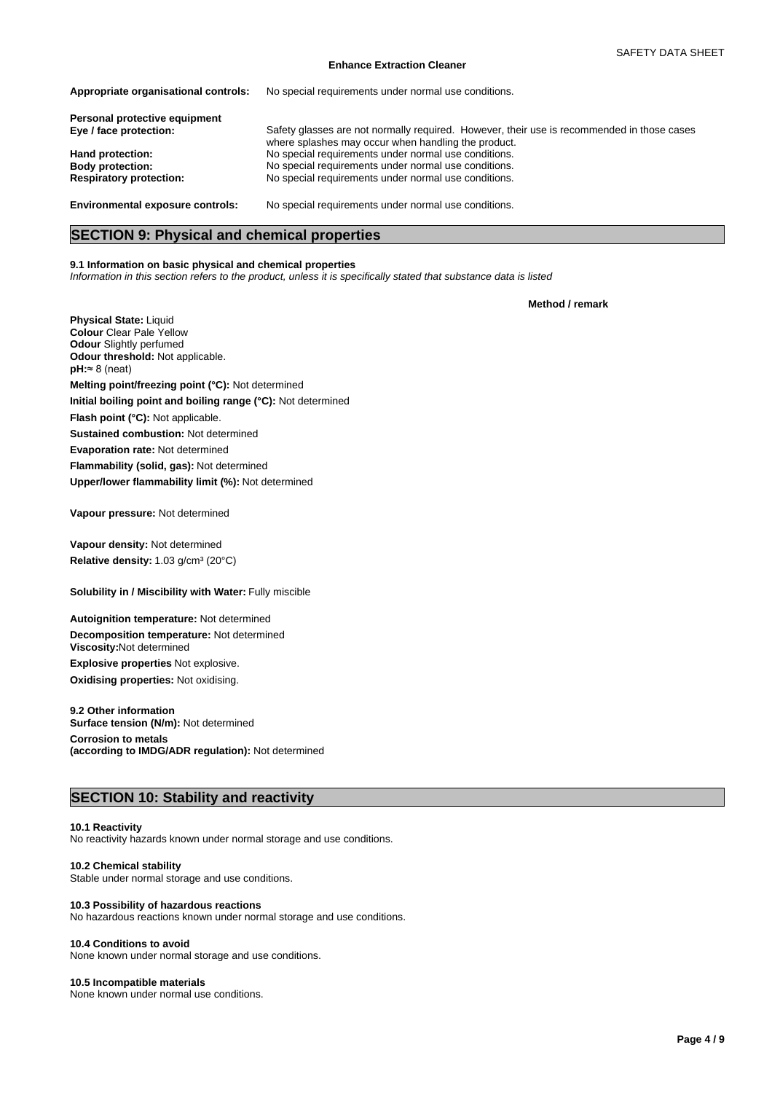#### **Enhance Extraction Cleaner**

| Appropriate organisational controls:    | No special requirements under normal use conditions.                                                                                              |
|-----------------------------------------|---------------------------------------------------------------------------------------------------------------------------------------------------|
| Personal protective equipment           |                                                                                                                                                   |
| Eye / face protection:                  | Safety glasses are not normally required. However, their use is recommended in those cases<br>where splashes may occur when handling the product. |
| Hand protection:                        | No special requirements under normal use conditions.                                                                                              |
| <b>Body protection:</b>                 | No special requirements under normal use conditions.                                                                                              |
| <b>Respiratory protection:</b>          | No special requirements under normal use conditions.                                                                                              |
| <b>Environmental exposure controls:</b> | No special requirements under normal use conditions.                                                                                              |

**SECTION 9: Physical and chemical properties**

#### **9.1 Information on basic physical and chemical properties**

*Information in this section refers to the product, unless it is specifically stated that substance data is listed*

**Method / remark**

**Odour** Slightly perfumed **Odour threshold:** Not applicable. **Physical State:** Liquid **Colour** Clear Pale Yellow **Flammability (solid, gas):** Not determined **pH:**≈8(neat) **Evaporation rate:** Not determined **Initial boiling point and boiling range (°C):** Not determined **Sustained combustion:** Not determined **Upper/lower flammability limit (%):** Not determined **Flash point (°C):** Not applicable. **Melting point/freezing point (°C):** Not determined

**Vapour pressure:** Not determined

Relative density: 1.03 g/cm<sup>3</sup> (20°C) **Vapour density:** Not determined

**Solubility in / Miscibility with Water: Fully miscible** 

**Decomposition temperature:** Not determined **Autoignition temperature:** Not determined **Oxidising properties:** Not oxidising. **Viscosity:**Not determined **Explosive properties** Not explosive.

**9.2 Other information Corrosion to metals (according to IMDG/ADR regulation):** Not determined **Surface tension (N/m):** Not determined

## **SECTION 10: Stability and reactivity**

#### **10.1 Reactivity**

No reactivity hazards known under normal storage and use conditions.

#### **10.2 Chemical stability**

Stable under normal storage and use conditions.

#### **10.3 Possibility of hazardous reactions**

No hazardous reactions known under normal storage and use conditions.

#### **10.4 Conditions to avoid**

None known under normal storage and use conditions.

#### **10.5 Incompatible materials**

None known under normal use conditions.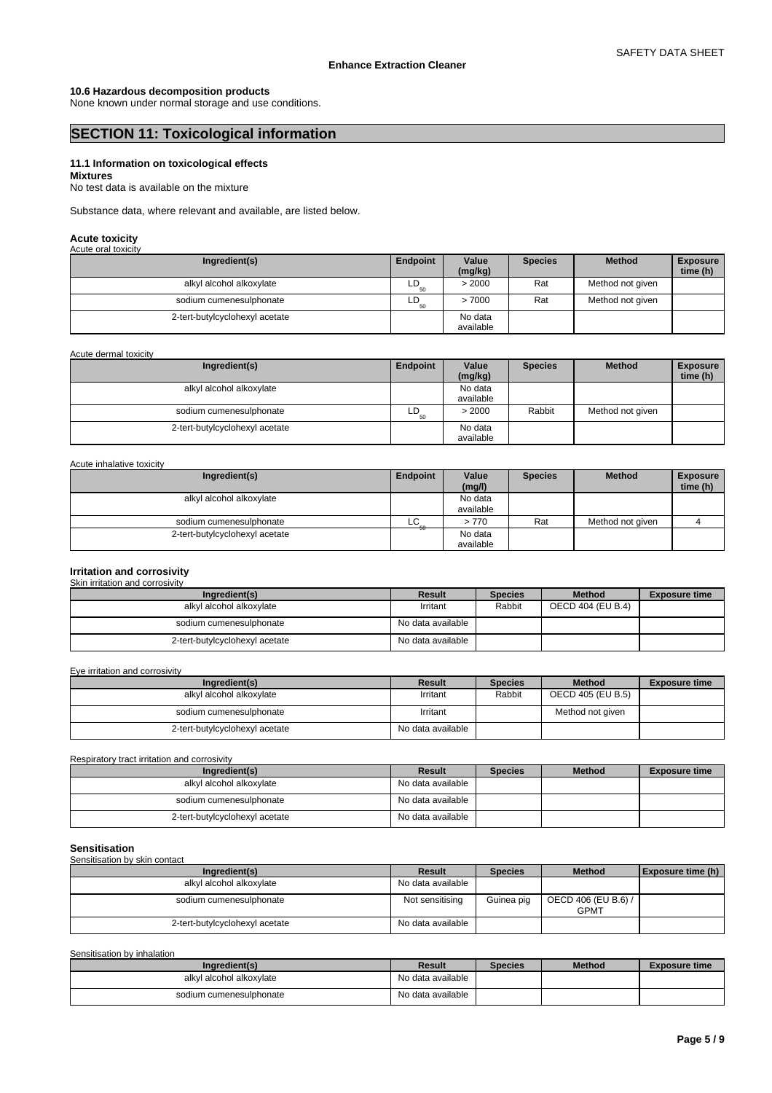#### **10.6 Hazardous decomposition products**

None known under normal storage and use conditions.

## **SECTION 11: Toxicological information**

#### **11.1 Information on toxicological effects Mixtures**

No test data is available on the mixture

Substance data, where relevant and available, are listed below.

## **Acute toxicity** Acute oral toxicity

| AGULT UIDI WAIGHY              |          |                      |                |                  |                             |
|--------------------------------|----------|----------------------|----------------|------------------|-----------------------------|
| Ingredient(s)                  | Endpoint | Value<br>(mg/kg)     | <b>Species</b> | <b>Method</b>    | <b>Exposure</b><br>time (h) |
| alkyl alcohol alkoxylate       | LD<br>50 | > 2000               | Rat            | Method not given |                             |
| sodium cumenesulphonate        | LD<br>50 | >7000                | Rat            | Method not given |                             |
| 2-tert-butylcyclohexyl acetate |          | No data<br>available |                |                  |                             |

Acute dermal toxicity

| Ingredient(s)                  | Endpoint | Value<br>(mg/kg) | <b>Species</b> | <b>Method</b>    | <b>Exposure</b><br>time (h) |
|--------------------------------|----------|------------------|----------------|------------------|-----------------------------|
| alkyl alcohol alkoxylate       |          | No data          |                |                  |                             |
|                                |          | available        |                |                  |                             |
| sodium cumenesulphonate        | LD<br>50 | > 2000           | Rabbit         | Method not given |                             |
| 2-tert-butylcyclohexyl acetate |          | No data          |                |                  |                             |
|                                |          | available        |                |                  |                             |

#### Acute inhalative toxicity

| Ingredient(s)                  | Endpoint | Value<br>(mg/l) | <b>Species</b> | <b>Method</b>    | <b>Exposure</b><br>time (h) |
|--------------------------------|----------|-----------------|----------------|------------------|-----------------------------|
|                                |          |                 |                |                  |                             |
| alkyl alcohol alkoxylate       |          | No data         |                |                  |                             |
|                                |          | available       |                |                  |                             |
| sodium cumenesulphonate        | LC       | >770            | Rat            | Method not aiven |                             |
| 2-tert-butylcyclohexyl acetate |          | No data         |                |                  |                             |
|                                |          | available       |                |                  |                             |

#### **Irritation and corrosivity**

| Skin irritation and corrosivity |                   |                |                   |                      |
|---------------------------------|-------------------|----------------|-------------------|----------------------|
| Ingredient(s)                   | Result            | <b>Species</b> | <b>Method</b>     | <b>Exposure time</b> |
| alkyl alcohol alkoxylate        | Irritant          | Rabbit         | OECD 404 (EU B.4) |                      |
| sodium cumenesulphonate         | No data available |                |                   |                      |
| 2-tert-butylcyclohexyl acetate  | No data available |                |                   |                      |

Eye irritation and corrosivity

| Ingredient(s)                  | Result            | <b>Species</b> | <b>Method</b>     | <b>Exposure time</b> |
|--------------------------------|-------------------|----------------|-------------------|----------------------|
| alkyl alcohol alkoxylate       | Irritant          | Rabbit         | OECD 405 (EU B.5) |                      |
| sodium cumenesulphonate        | Irritant          |                | Method not given  |                      |
| 2-tert-butylcyclohexyl acetate | No data available |                |                   |                      |

Respiratory tract irritation and corrosivity

| Ingredient(s)                  | Result            | <b>Species</b> | <b>Method</b> | <b>Exposure time</b> |
|--------------------------------|-------------------|----------------|---------------|----------------------|
| alkyl alcohol alkoxylate       | No data available |                |               |                      |
| sodium cumenesulphonate        | No data available |                |               |                      |
| 2-tert-butylcyclohexyl acetate | No data available |                |               |                      |

#### **Sensitisation**

| Sensitisation by skin contact  |                   |                |                                    |                          |
|--------------------------------|-------------------|----------------|------------------------------------|--------------------------|
| Ingredient(s)                  | Result            | <b>Species</b> | <b>Method</b>                      | <b>Exposure time (h)</b> |
| alkyl alcohol alkoxylate       | No data available |                |                                    |                          |
| sodium cumenesulphonate        | Not sensitising   | Guinea pig     | OECD 406 (EU B.6) /<br><b>GPMT</b> |                          |
| 2-tert-butylcyclohexyl acetate | No data available |                |                                    |                          |

Sensitisation by inhalation

| Ingredient(s)            | Result            | <b>Species</b> | <b>Method</b> | <b>Exposure time</b> |
|--------------------------|-------------------|----------------|---------------|----------------------|
| alkvl alcohol alkoxvlate | No data available |                |               |                      |
| sodium cumenesulphonate  | No data available |                |               |                      |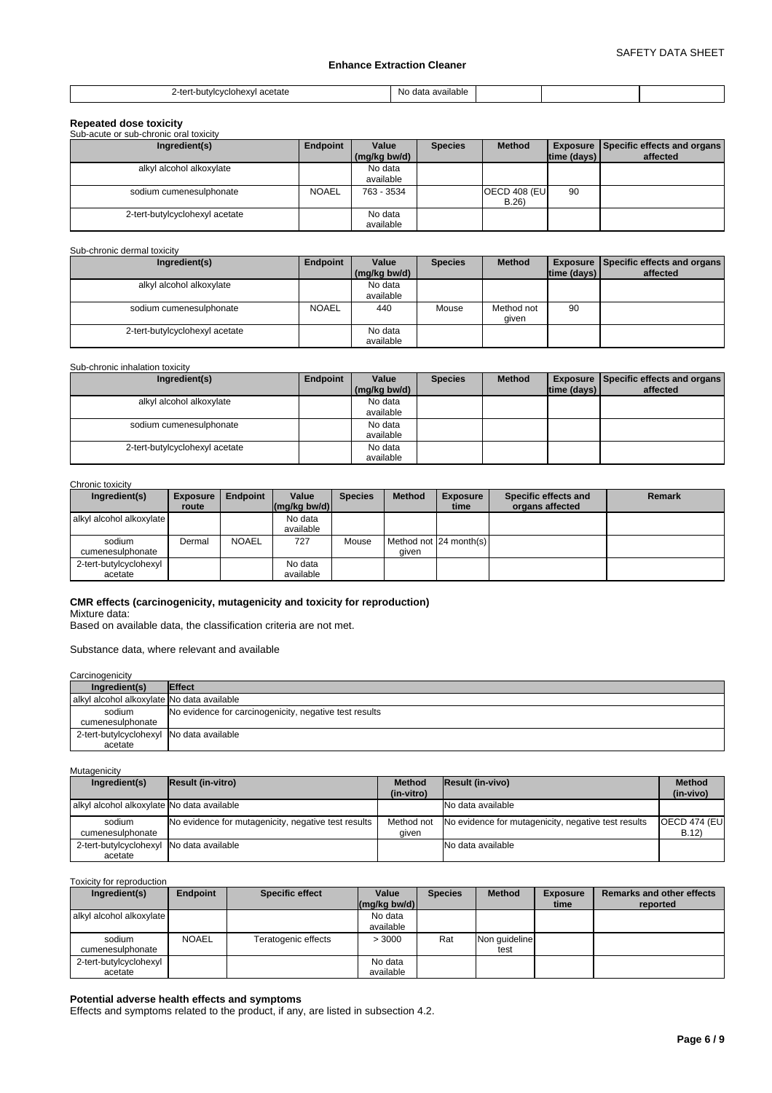### **Enhance Extraction Cleaner**

| ' acetate<br>i-butvicvciohexvi<br><br><br>. | available<br>NG<br>$\sim$<br>uaia |  |  |
|---------------------------------------------|-----------------------------------|--|--|

| <b>Repeated dose toxicity</b>          |              |                       |                |                              |                    |                                                         |
|----------------------------------------|--------------|-----------------------|----------------|------------------------------|--------------------|---------------------------------------------------------|
| Sub-acute or sub-chronic oral toxicity |              |                       |                |                              |                    |                                                         |
| Ingredient(s)                          | Endpoint     | Value<br>(mg/kg bw/d) | <b>Species</b> | <b>Method</b>                | $ time$ (days) $ $ | <b>Exposure Specific effects and organs</b><br>affected |
| alkyl alcohol alkoxylate               |              | No data<br>available  |                |                              |                    |                                                         |
| sodium cumenesulphonate                | <b>NOAEL</b> | 763 - 3534            |                | <b>OECD 408 (EU)</b><br>B.26 | 90                 |                                                         |
| 2-tert-butylcyclohexyl acetate         |              | No data<br>available  |                |                              |                    |                                                         |

#### Sub-chronic dermal toxicity

| Ingredient(s)                  | Endpoint     | Value        | <b>Species</b> | <b>Method</b> |             | <b>Exposure Specific effects and organs</b> |
|--------------------------------|--------------|--------------|----------------|---------------|-------------|---------------------------------------------|
|                                |              | (mg/kg bw/d) |                |               | time (days) | affected                                    |
| alkyl alcohol alkoxylate       |              | No data      |                |               |             |                                             |
|                                |              | available    |                |               |             |                                             |
| sodium cumenesulphonate        | <b>NOAEL</b> | 440          | Mouse          | Method not    | 90          |                                             |
|                                |              |              |                | given         |             |                                             |
| 2-tert-butylcyclohexyl acetate |              | No data      |                |               |             |                                             |
|                                |              | available    |                |               |             |                                             |

#### Sub-chronic inhalation toxicity

| Ingredient(s)                  | Endpoint | Value        | <b>Species</b> | <b>Method</b> |                    | <b>Exposure Specific effects and organs</b> |
|--------------------------------|----------|--------------|----------------|---------------|--------------------|---------------------------------------------|
|                                |          | (mg/kg bw/d) |                |               | $ time$ (days) $ $ | affected                                    |
| alkyl alcohol alkoxylate       |          | No data      |                |               |                    |                                             |
|                                |          | available    |                |               |                    |                                             |
| sodium cumenesulphonate        |          | No data      |                |               |                    |                                             |
|                                |          | available    |                |               |                    |                                             |
| 2-tert-butylcyclohexyl acetate |          | No data      |                |               |                    |                                             |
|                                |          | available    |                |               |                    |                                             |

#### Chronic toxicity

| Ingredient(s)            | <b>Exposure</b> | <b>Endpoint</b> | Value          | <b>Species</b> | <b>Method</b> | <b>Exposure</b>        | Specific effects and | Remark |
|--------------------------|-----------------|-----------------|----------------|----------------|---------------|------------------------|----------------------|--------|
|                          | route           |                 | $(mq/kg$ bw/d) |                |               | time                   | organs affected      |        |
| alkyl alcohol alkoxylate |                 |                 | No data        |                |               |                        |                      |        |
|                          |                 |                 | available      |                |               |                        |                      |        |
| sodium                   | Dermal          | <b>NOAEL</b>    | 727            | Mouse          |               | Method not 24 month(s) |                      |        |
| cumenesulphonate         |                 |                 |                |                | given         |                        |                      |        |
| 2-tert-butylcyclohexyl   |                 |                 | No data        |                |               |                        |                      |        |
| acetate                  |                 |                 | available      |                |               |                        |                      |        |

## **CMR effects (carcinogenicity, mutagenicity and toxicity for reproduction)**

Mixture data:

Based on available data, the classification criteria are not met.

Substance data, where relevant and available

| Carcinogenicity                                     |                                                        |
|-----------------------------------------------------|--------------------------------------------------------|
| Ingredient(s)                                       | <b>Effect</b>                                          |
| alkyl alcohol alkoxylate No data available          |                                                        |
| sodium<br>cumenesulphonate                          | No evidence for carcinogenicity, negative test results |
| 2-tert-butylcyclohexyl No data available<br>acetate |                                                        |

**Mutagenicity** 

| Ingredient(s)                              | <b>Result (in-vitro)</b>                            | <b>Method</b> | Result (in-vivo)                                               | <b>Method</b>         |
|--------------------------------------------|-----------------------------------------------------|---------------|----------------------------------------------------------------|-----------------------|
|                                            |                                                     | (in-vitro)    |                                                                | (in-vivo)             |
| alkyl alcohol alkoxylate No data available |                                                     |               | No data available                                              |                       |
| sodium                                     | No evidence for mutagenicity, negative test results |               | Method not No evidence for mutagenicity, negative test results | <b>OECD 474 (EUI)</b> |
| cumenesulphonate                           |                                                     | aiven         |                                                                | B.12                  |
| 2-tert-butylcyclohexyl No data available   |                                                     |               | No data available                                              |                       |
| acetate                                    |                                                     |               |                                                                |                       |

Toxicity for reproduction

| Ingredient(s)                     | Endpoint     | <b>Specific effect</b> | Value<br>$(mq/kg$ bw/d) | <b>Species</b> | <b>Method</b>         | <b>Exposure</b><br>time | <b>Remarks and other effects</b><br>reported |
|-----------------------------------|--------------|------------------------|-------------------------|----------------|-----------------------|-------------------------|----------------------------------------------|
| alkyl alcohol alkoxylate          |              |                        | No data<br>available    |                |                       |                         |                                              |
| sodium<br>cumenesulphonate        | <b>NOAEL</b> | Teratogenic effects    | >3000                   | Rat            | Non quideline<br>test |                         |                                              |
| 2-tert-butylcyclohexyl<br>acetate |              |                        | No data<br>available    |                |                       |                         |                                              |

## **Potential adverse health effects and symptoms**

Effects and symptoms related to the product, if any, are listed in subsection 4.2.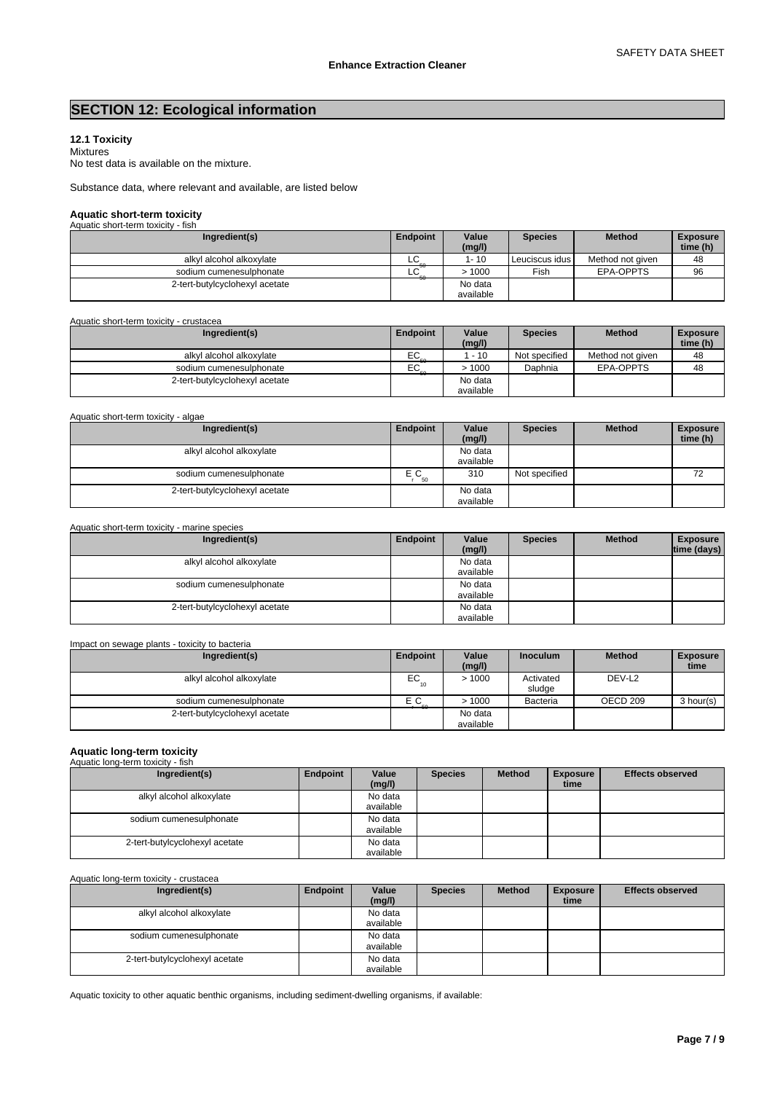## **SECTION 12: Ecological information**

#### **12.1 Toxicity** Mixtures

No test data is available on the mixture.

Substance data, where relevant and available, are listed below

# **Aquatic short-term toxicity** Aquatic short-term toxicity - fish

| <b>AQUALIC SHOLFIERRI LOXICITY - ISH</b> |          |                      |                  |                  |                             |
|------------------------------------------|----------|----------------------|------------------|------------------|-----------------------------|
| Ingredient(s)                            | Endpoint | Value<br>(mg/l)      | <b>Species</b>   | <b>Method</b>    | <b>Exposure</b><br>time (h) |
| alkyl alcohol alkoxylate                 | LC       | 1-10                 | Leuciscus idus I | Method not given | 48                          |
| sodium cumenesulphonate                  | LC       | >1000                | Fish             | EPA-OPPTS        | 96                          |
| 2-tert-butylcyclohexyl acetate           |          | No data<br>available |                  |                  |                             |

#### Aquatic short-term toxicity - crustacea

| Ingredient(s)                  | Endpoint | Value<br>(mg/l)      | <b>Species</b> | <b>Method</b>    | <b>Exposure</b><br>time (h) |
|--------------------------------|----------|----------------------|----------------|------------------|-----------------------------|
| alkvl alcohol alkoxvlate       | EC       | $-10$                | Not specified  | Method not given | 48                          |
| sodium cumenesulphonate        | EC       | >1000                | Daphnia        | EPA-OPPTS        | 48                          |
| 2-tert-butylcyclohexyl acetate |          | No data<br>available |                |                  |                             |

### Aquatic short-term toxicity - algae

| Ingredient(s)                  | Endpoint | Value<br>(mg/l)      | <b>Species</b> | <b>Method</b> | <b>Exposure</b><br>time (h) |
|--------------------------------|----------|----------------------|----------------|---------------|-----------------------------|
| alkyl alcohol alkoxylate       |          | No data<br>available |                |               |                             |
| sodium cumenesulphonate        | ЕC<br>50 | 310                  | Not specified  |               | 72<br>▵                     |
| 2-tert-butylcyclohexyl acetate |          | No data<br>available |                |               |                             |

| Aquatic short-term toxicity - marine species |          |                      |                |               |                                |
|----------------------------------------------|----------|----------------------|----------------|---------------|--------------------------------|
| Ingredient(s)                                | Endpoint | Value<br>(mg/l)      | <b>Species</b> | <b>Method</b> | <b>Exposure</b><br>time (days) |
| alkyl alcohol alkoxylate                     |          | No data<br>available |                |               |                                |
| sodium cumenesulphonate                      |          | No data<br>available |                |               |                                |
| 2-tert-butylcyclohexyl acetate               |          | No data<br>available |                |               |                                |

## Impact on sewage plants - toxicity to bacteria

| Ingredient(s)                  | Endpoint | Value<br>(mg/l)      | <b>Inoculum</b>     | <b>Method</b>       | <b>Exposure</b><br>time |
|--------------------------------|----------|----------------------|---------------------|---------------------|-------------------------|
| alkyl alcohol alkoxylate       | EC       | >1000                | Activated<br>sludae | DEV-L <sub>2</sub>  |                         |
| sodium cumenesulphonate        | ЕC       | >1000                | <b>Bacteria</b>     | OECD <sub>209</sub> | 3 hour(s)               |
| 2-tert-butylcyclohexyl acetate |          | No data<br>available |                     |                     |                         |

## **Aquatic long-term toxicity** Aquatic long-term toxicity - fish

| Ingredient(s)                  | Endpoint | Value<br>(mg/l) | <b>Species</b> | <b>Method</b> | <b>Exposure</b><br>time | <b>Effects observed</b> |
|--------------------------------|----------|-----------------|----------------|---------------|-------------------------|-------------------------|
| alkyl alcohol alkoxylate       |          | No data         |                |               |                         |                         |
|                                |          | available       |                |               |                         |                         |
| sodium cumenesulphonate        |          | No data         |                |               |                         |                         |
|                                |          | available       |                |               |                         |                         |
| 2-tert-butylcyclohexyl acetate |          | No data         |                |               |                         |                         |
|                                |          | available       |                |               |                         |                         |

#### Aquatic long-term toxicity - crustacea

| Ingredient(s)                  | Endpoint | Value<br>(mg/l)      | <b>Species</b> | <b>Method</b> | <b>Exposure</b><br>time | <b>Effects observed</b> |
|--------------------------------|----------|----------------------|----------------|---------------|-------------------------|-------------------------|
| alkyl alcohol alkoxylate       |          | No data<br>available |                |               |                         |                         |
|                                |          |                      |                |               |                         |                         |
| sodium cumenesulphonate        |          | No data<br>available |                |               |                         |                         |
| 2-tert-butylcyclohexyl acetate |          | No data<br>available |                |               |                         |                         |

Aquatic toxicity to other aquatic benthic organisms, including sediment-dwelling organisms, if available: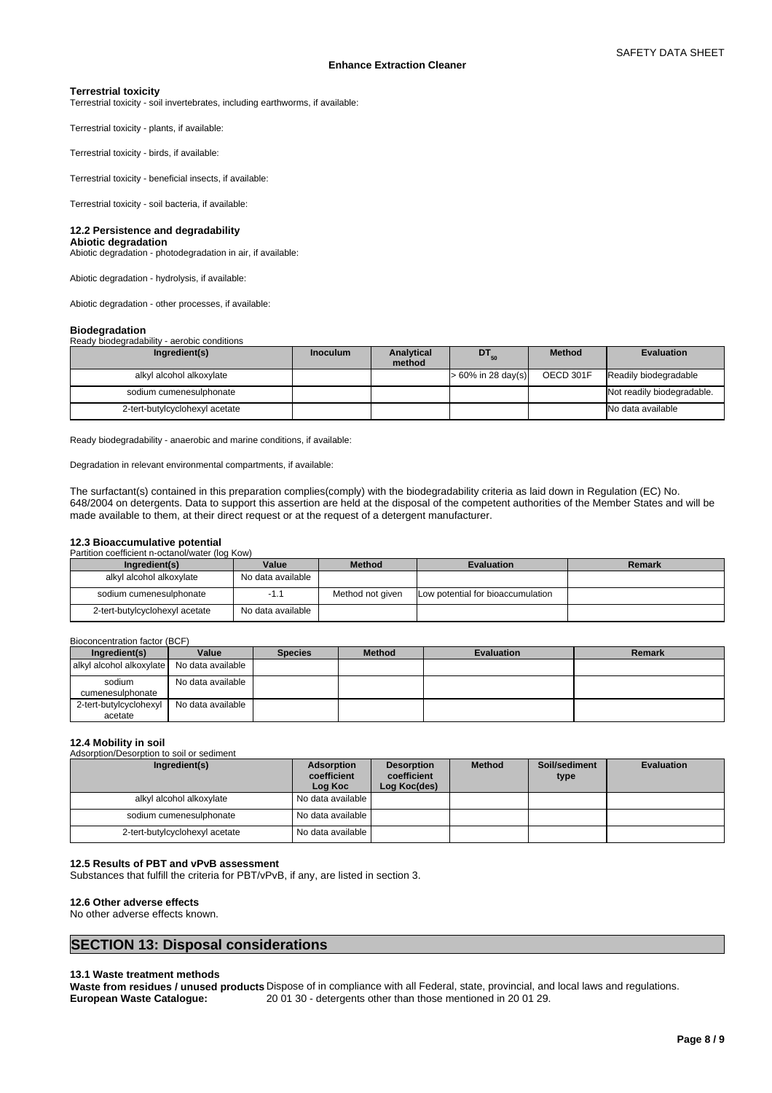#### **Terrestrial toxicity**

Terrestrial toxicity - soil invertebrates, including earthworms, if available:

Terrestrial toxicity - plants, if available:

Terrestrial toxicity - birds, if available:

Terrestrial toxicity - beneficial insects, if available:

Terrestrial toxicity - soil bacteria, if available:

#### **12.2 Persistence and degradability**

**Abiotic degradation** Abiotic degradation - photodegradation in air, if available:

Abiotic degradation - hydrolysis, if available:

Abiotic degradation - other processes, if available:

## **Biodegradation**

| Ready biodegradability - aerobic conditions |                 |                             |                       |               |                            |
|---------------------------------------------|-----------------|-----------------------------|-----------------------|---------------|----------------------------|
| Ingredient(s)                               | <b>Inoculum</b> | <b>Analytical</b><br>method | $DT_{50}$             | <b>Method</b> | Evaluation                 |
| alkyl alcohol alkoxylate                    |                 |                             | $> 60\%$ in 28 day(s) | OECD 301F     | Readily biodegradable      |
| sodium cumenesulphonate                     |                 |                             |                       |               | Not readily biodegradable. |
| 2-tert-butylcyclohexyl acetate              |                 |                             |                       |               | No data available          |

Ready biodegradability - anaerobic and marine conditions, if available:

Degradation in relevant environmental compartments, if available:

The surfactant(s) contained in this preparation complies(comply) with the biodegradability criteria as laid down in Regulation (EC) No. 648/2004 on detergents. Data to support this assertion are held at the disposal of the competent authorities of the Member States and will be made available to them, at their direct request or at the request of a detergent manufacturer.

#### **12.3 Bioaccumulative potential**

| Partition coefficient n-octanol/water (log Kow) |  |
|-------------------------------------------------|--|

| Ingredient(s)                  | Value             | <b>Method</b>    | <b>Evaluation</b>                 | Remark |
|--------------------------------|-------------------|------------------|-----------------------------------|--------|
| alkyl alcohol alkoxylate       | No data available |                  |                                   |        |
| sodium cumenesulphonate        | - 11              | Method not given | Low potential for bioaccumulation |        |
| 2-tert-butylcyclohexyl acetate | No data available |                  |                                   |        |

#### Bioconcentration factor (BCF)

| Ingredient(s)                     | Value             | <b>Species</b> | <b>Method</b> | Evaluation | Remark |  |  |  |  |
|-----------------------------------|-------------------|----------------|---------------|------------|--------|--|--|--|--|
| alkyl alcohol alkoxylate          | No data available |                |               |            |        |  |  |  |  |
| sodium<br>cumenesulphonate        | No data available |                |               |            |        |  |  |  |  |
| 2-tert-butylcyclohexyl<br>acetate | No data available |                |               |            |        |  |  |  |  |

#### **12.4 Mobility in soil**

Adsorption/Desorption to soil or sediment

| Ingredient(s)                  | Adsorption<br>coefficient<br>Log Koc | <b>Desorption</b><br>coefficient<br>Log Koc(des) | <b>Method</b> | Soil/sediment<br>type | <b>Evaluation</b> |
|--------------------------------|--------------------------------------|--------------------------------------------------|---------------|-----------------------|-------------------|
| alkyl alcohol alkoxylate       | No data available                    |                                                  |               |                       |                   |
| sodium cumenesulphonate        | I No data available I                |                                                  |               |                       |                   |
| 2-tert-butylcyclohexyl acetate | I No data available I                |                                                  |               |                       |                   |

### **12.5 Results of PBT and vPvB assessment**

Substances that fulfill the criteria for PBT/vPvB, if any, are listed in section 3.

#### **12.6 Other adverse effects**

No other adverse effects known.

## **SECTION 13: Disposal considerations**

#### **13.1 Waste treatment methods**

Waste from residues / unused products Dispose of in compliance with all Federal, state, provincial, and local laws and regulations.<br>European Waste Catalogue: 2001 30 - detergents other than those mentioned in 2001 29. **European Waste Catalogue:** 20 01 30 - detergents other than those mentioned in 20 01 29.